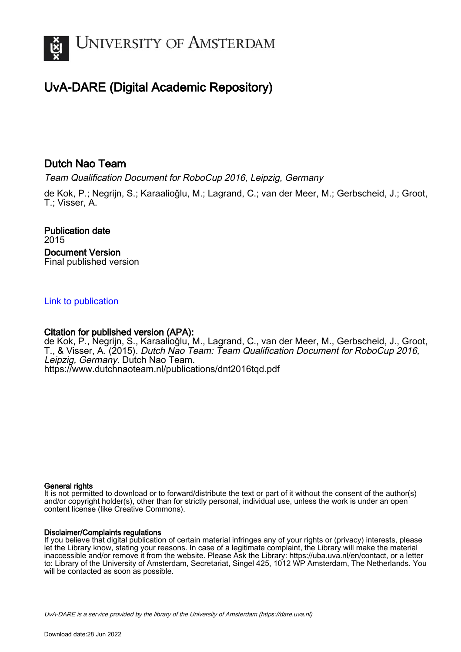

# UvA-DARE (Digital Academic Repository)

# Dutch Nao Team

Team Qualification Document for RoboCup 2016, Leipzig, Germany

de Kok, P.; Negrijn, S.; Karaalioğlu, M.; Lagrand, C.; van der Meer, M.; Gerbscheid, J.; Groot, T.; Visser, A.

Publication date 2015 Document Version Final published version

# [Link to publication](https://dare.uva.nl/personal/pure/en/publications/dutch-nao-team(bf34903f-1f05-46e9-a769-c08f25d8b2b2).html)

# Citation for published version (APA):

de Kok, P., Negrijn, S., Karaalioğlu, M., Lagrand, C., van der Meer, M., Gerbscheid, J., Groot, T., & Visser, A. (2015). Dutch Nao Team: Team Qualification Document for RoboCup 2016, Leipzig, Germany. Dutch Nao Team. <https://www.dutchnaoteam.nl/publications/dnt2016tqd.pdf>

## General rights

It is not permitted to download or to forward/distribute the text or part of it without the consent of the author(s) and/or copyright holder(s), other than for strictly personal, individual use, unless the work is under an open content license (like Creative Commons).

## Disclaimer/Complaints regulations

If you believe that digital publication of certain material infringes any of your rights or (privacy) interests, please let the Library know, stating your reasons. In case of a legitimate complaint, the Library will make the material inaccessible and/or remove it from the website. Please Ask the Library: https://uba.uva.nl/en/contact, or a letter to: Library of the University of Amsterdam, Secretariat, Singel 425, 1012 WP Amsterdam, The Netherlands. You will be contacted as soon as possible.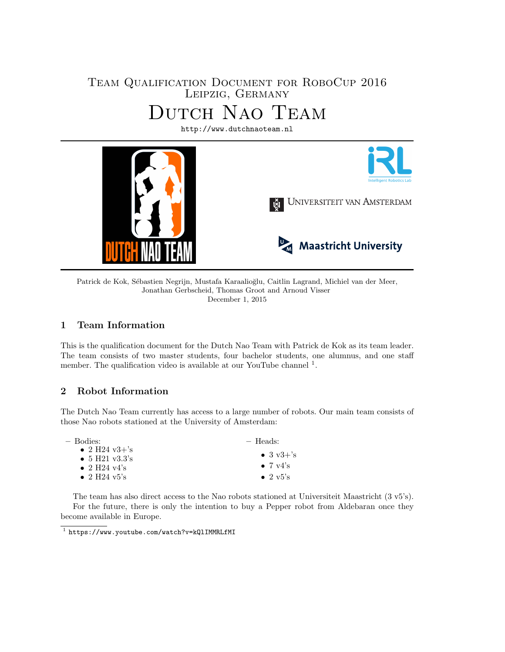# Team Qualification Document for RoboCup 2016 Leipzig, Germany Dutch Nao Team

<http://www.dutchnaoteam.nl>



Patrick de Kok, Sébastien Negrijn, Mustafa Karaalioğlu, Caitlin Lagrand, Michiel van der Meer, Jonathan Gerbscheid, Thomas Groot and Arnoud Visser December 1, 2015

# 1 Team Information

This is the qualification document for the Dutch Nao Team with Patrick de Kok as its team leader. The team consists of two master students, four bachelor students, one alumnus, and one staff member. The qualification video is available at our YouTube channel<sup>[1](#page-1-0)</sup>.

# 2 Robot Information

The Dutch Nao Team currently has access to a large number of robots. Our main team consists of those Nao robots stationed at the University of Amsterdam:

| — Bodies:                                     | - Heads:                     |  |
|-----------------------------------------------|------------------------------|--|
| • 2 H24 $v3 + s$<br>• 5 H21 $\mathrm{v3.3's}$ | $\bullet$ 3 v3+'s            |  |
| • 2 H24 $v4$ 's                               | $\bullet$ 7 v4's             |  |
| • 2 H24 $v5$ 's                               | $\bullet$ 2 v <sup>5's</sup> |  |

The team has also direct access to the Nao robots stationed at Universiteit Maastricht (3 v5's). For the future, there is only the intention to buy a Pepper robot from Aldebaran once they become available in Europe.

<span id="page-1-0"></span><sup>1</sup> <https://www.youtube.com/watch?v=kQlIMMRLfMI>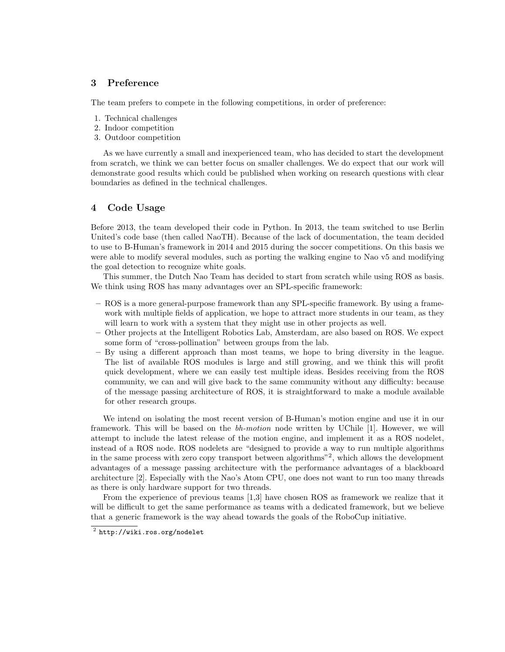## 3 Preference

The team prefers to compete in the following competitions, in order of preference:

- 1. Technical challenges
- 2. Indoor competition
- 3. Outdoor competition

As we have currently a small and inexperienced team, who has decided to start the development from scratch, we think we can better focus on smaller challenges. We do expect that our work will demonstrate good results which could be published when working on research questions with clear boundaries as defined in the technical challenges.

## 4 Code Usage

Before 2013, the team developed their code in Python. In 2013, the team switched to use Berlin United's code base (then called NaoTH). Because of the lack of documentation, the team decided to use to B-Human's framework in 2014 and 2015 during the soccer competitions. On this basis we were able to modify several modules, such as porting the walking engine to Nao v5 and modifying the goal detection to recognize white goals.

This summer, the Dutch Nao Team has decided to start from scratch while using ROS as basis. We think using ROS has many advantages over an SPL-specific framework:

- ROS is a more general-purpose framework than any SPL-specific framework. By using a framework with multiple fields of application, we hope to attract more students in our team, as they will learn to work with a system that they might use in other projects as well.
- Other projects at the Intelligent Robotics Lab, Amsterdam, are also based on ROS. We expect some form of "cross-pollination" between groups from the lab.
- By using a different approach than most teams, we hope to bring diversity in the league. The list of available ROS modules is large and still growing, and we think this will profit quick development, where we can easily test multiple ideas. Besides receiving from the ROS community, we can and will give back to the same community without any difficulty: because of the message passing architecture of ROS, it is straightforward to make a module available for other research groups.

We intend on isolating the most recent version of B-Human's motion engine and use it in our framework. This will be based on the bh-motion node written by UChile [\[1\]](#page-4-0). However, we will attempt to include the latest release of the motion engine, and implement it as a ROS nodelet, instead of a ROS node. ROS nodelets are "designed to provide a way to run multiple algorithms in the same process with zero copy transport between algorithms"[2](#page-2-0) , which allows the development advantages of a message passing architecture with the performance advantages of a blackboard architecture [\[2\]](#page-4-1). Especially with the Nao's Atom CPU, one does not want to run too many threads as there is only hardware support for two threads.

From the experience of previous teams [\[1,](#page-4-0)[3\]](#page-4-2) have chosen ROS as framework we realize that it will be difficult to get the same performance as teams with a dedicated framework, but we believe that a generic framework is the way ahead towards the goals of the RoboCup initiative.

<span id="page-2-0"></span> $^2$  <http://wiki.ros.org/nodelet>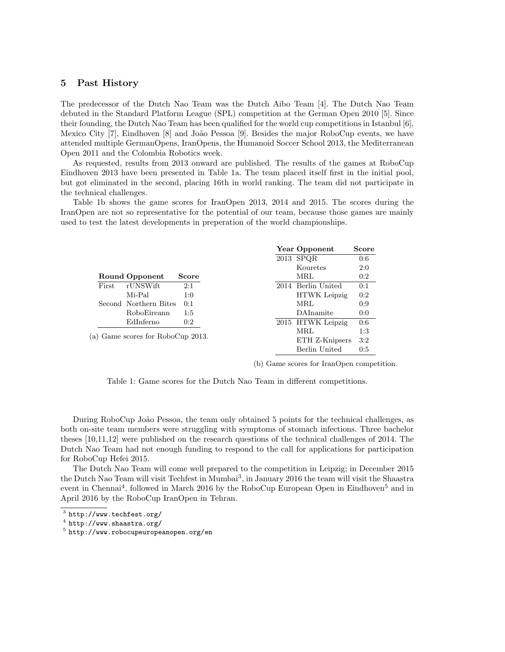## 5 Past History

The predecessor of the Dutch Nao Team was the Dutch Aibo Team [\[4\]](#page-4-3). The Dutch Nao Team debuted in the Standard Platform League (SPL) competition at the German Open 2010 [\[5\]](#page-4-4). Since their founding, the Dutch Nao Team has been qualified for the world cup competitions in Istanbul [\[6\]](#page-4-5), Mexico City [\[7\]](#page-5-0), Eindhoven [\[8\]](#page-5-1) and João Pessoa [\[9\]](#page-5-2). Besides the major RoboCup events, we have attended multiple GermanOpens, IranOpens, the Humanoid Soccer School 2013, the Mediterranean Open 2011 and the Colombia Robotics week.

As requested, results from 2013 onward are published. The results of the games at RoboCup Eindhoven 2013 have been presented in Table [1a.](#page-3-0) The team placed itself first in the initial pool, but got eliminated in the second, placing 16th in world ranking. The team did not participate in the technical challenges.

Table [1b](#page-3-0) shows the game scores for IranOpen 2013, 2014 and 2015. The scores during the IranOpen are not so representative for the potential of our team, because those games are mainly used to test the latest developments in preperation of the world championships.

<span id="page-3-0"></span>

|       |                                   |       | <b>Year Opponent</b> | <b>Score</b> |
|-------|-----------------------------------|-------|----------------------|--------------|
|       |                                   |       | 2013 SPQR            | 0:6          |
|       |                                   |       | Kouretes             | 2:0          |
|       | Round Opponent                    | Score | MRL                  | 0:2          |
| First | rUNSWift                          | 2:1   | 2014 Berlin United   | 0:1          |
|       | Mi-Pal                            | 1:0   | <b>HTWK</b> Leipzig  | 0:2          |
|       | Second Northern Bites             | 0:1   | MRL                  | 0:9          |
|       | <b>RoboEireann</b>                | 1:5   | DAInamite            | 0:0          |
|       | EdInferno                         | 0:2   | 2015 HTWK Leipzig    | 0:6          |
|       |                                   |       | MRL                  | 1:3          |
|       | (a) Game scores for RoboCup 2013. |       | ETH Z-Knipsers       | 3:2          |
|       |                                   |       | Berlin United        | 0:5          |

(b) Game scores for IranOpen competition.

Table 1: Game scores for the Dutch Nao Team in different competitions.

During RoboCup João Pessoa, the team only obtained 5 points for the technical challenges, as both on-site team members were struggling with symptoms of stomach infections. Three bachelor theses [\[10,](#page-5-3)[11](#page-5-4)[,12\]](#page-5-5) were published on the research questions of the technical challenges of 2014. The Dutch Nao Team had not enough funding to respond to the call for applications for participation for RoboCup Hefei 2015.

The Dutch Nao Team will come well prepared to the competition in Leipzig; in December 2015 the Dutch Nao Team will visit Techfest in Mumbai<sup>[3](#page-3-1)</sup>, in January 2016 the team will visit the Shaastra event in Chennai<sup>[4](#page-3-2)</sup>, followed in March 2016 by the RoboCup European Open in Eindhoven<sup>[5](#page-3-3)</sup> and in April 2016 by the RoboCup IranOpen in Tehran.

<span id="page-3-1"></span> $^3$  <http://www.techfest.org/>

<span id="page-3-2"></span> $^4$  <http://www.shaastra.org/>

<span id="page-3-3"></span> $^5$  <http://www.robocupeuropeanopen.org/en>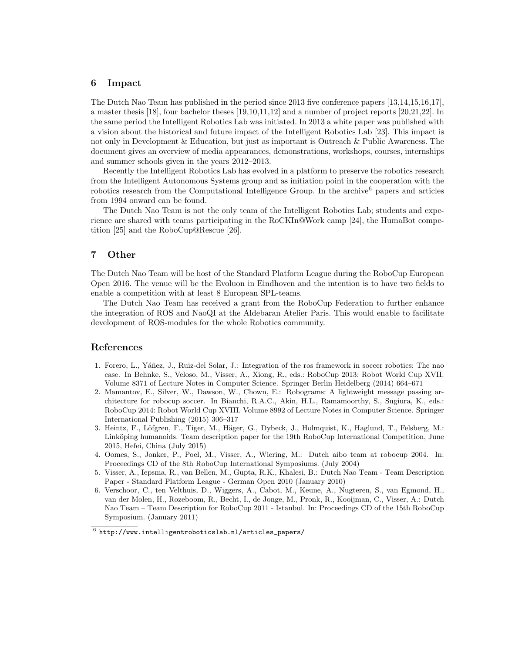## 6 Impact

The Dutch Nao Team has published in the period since 2013 five conference papers [\[13,](#page-5-6)[14,](#page-5-7)[15,](#page-5-8)[16,](#page-5-9)[17\]](#page-5-10), a master thesis [\[18\]](#page-5-11), four bachelor theses [\[19,](#page-5-12)[10,](#page-5-3)[11,](#page-5-4)[12\]](#page-5-5) and a number of project reports [\[20,](#page-5-13)[21,](#page-5-14)[22\]](#page-5-15). In the same period the Intelligent Robotics Lab was initiated. In 2013 a white paper was published with a vision about the historical and future impact of the Intelligent Robotics Lab [\[23\]](#page-5-16). This impact is not only in Development & Education, but just as important is Outreach & Public Awareness. The document gives an overview of media appearances, demonstrations, workshops, courses, internships and summer schools given in the years 2012–2013.

Recently the Intelligent Robotics Lab has evolved in a platform to preserve the robotics research from the Intelligent Autonomous Systems group and as initiation point in the cooperation with the robotics research from the Computational Intelligence Group. In the archive<sup>[6](#page-4-6)</sup> papers and articles from 1994 onward can be found.

The Dutch Nao Team is not the only team of the Intelligent Robotics Lab; students and experience are shared with teams participating in the RoCKIn@Work camp [\[24\]](#page-5-17), the HumaBot competition [\[25\]](#page-5-18) and the RoboCup@Rescue [\[26\]](#page-5-19).

#### 7 Other

The Dutch Nao Team will be host of the Standard Platform League during the RoboCup European Open 2016. The venue will be the Evoluon in Eindhoven and the intention is to have two fields to enable a competition with at least 8 European SPL-teams.

The Dutch Nao Team has received a grant from the RoboCup Federation to further enhance the integration of ROS and NaoQI at the Aldebaran Atelier Paris. This would enable to facilitate development of ROS-modules for the whole Robotics community.

#### References

- <span id="page-4-0"></span>1. Forero, L., Yáñez, J., Ruiz-del Solar, J.: Integration of the ros framework in soccer robotics: The nao case. In Behnke, S., Veloso, M., Visser, A., Xiong, R., eds.: RoboCup 2013: Robot World Cup XVII. Volume 8371 of Lecture Notes in Computer Science. Springer Berlin Heidelberg (2014) 664–671
- <span id="page-4-1"></span>2. Mamantov, E., Silver, W., Dawson, W., Chown, E.: Robograms: A lightweight message passing architecture for robocup soccer. In Bianchi, R.A.C., Akin, H.L., Ramamoorthy, S., Sugiura, K., eds.: RoboCup 2014: Robot World Cup XVIII. Volume 8992 of Lecture Notes in Computer Science. Springer International Publishing (2015) 306–317
- <span id="page-4-2"></span>3. Heintz, F., Löfgren, F., Tiger, M., Häger, G., Dybeck, J., Holmquist, K., Haglund, T., Felsberg, M.: Linköping humanoids. Team description paper for the 19th RoboCup International Competition, June 2015, Hefei, China (July 2015)
- <span id="page-4-3"></span>4. Oomes, S., Jonker, P., Poel, M., Visser, A., Wiering, M.: Dutch aibo team at robocup 2004. In: Proceedings CD of the 8th RoboCup International Symposiums. (July 2004)
- <span id="page-4-4"></span>5. Visser, A., Iepsma, R., van Bellen, M., Gupta, R.K., Khalesi, B.: Dutch Nao Team - Team Description Paper - Standard Platform League - German Open 2010 (January 2010)
- <span id="page-4-5"></span>6. Verschoor, C., ten Velthuis, D., Wiggers, A., Cabot, M., Keune, A., Nugteren, S., van Egmond, H., van der Molen, H., Rozeboom, R., Becht, I., de Jonge, M., Pronk, R., Kooijman, C., Visser, A.: Dutch Nao Team – Team Description for RoboCup 2011 - Istanbul. In: Proceedings CD of the 15th RoboCup Symposium. (January 2011)

<span id="page-4-6"></span> $^6$  [http://www.intelligentroboticslab.nl/articles\\_papers/](http://www.intelligentroboticslab.nl/articles_papers/)